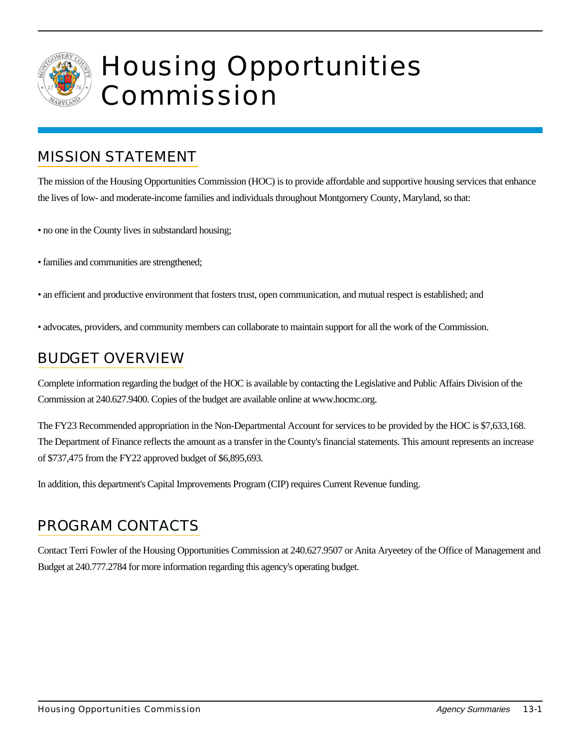

## Housing Opportunities Commission

## MISSION STATEMENT

The mission of the Housing Opportunities Commission (HOC) is to provide affordable and supportive housing services that enhance the lives of low- and moderate-income families and individuals throughout Montgomery County, Maryland, so that:

- no one in the County lives in substandard housing;
- families and communities are strengthened;
- an efficient and productive environment that fosters trust, open communication, and mutual respect is established; and
- advocates, providers, and community members can collaborate to maintain support for all the work of the Commission.

## BUDGET OVERVIEW

Complete information regarding the budget of the HOC is available by contacting the Legislative and Public Affairs Division of the Commission at 240.627.9400. Copies of the budget are available online at www.hocmc.org.

The FY23 Recommended appropriation in the Non-Departmental Account for services to be provided by the HOC is \$7,633,168. The Department of Finance reflects the amount as a transfer in the County's financial statements. This amount represents an increase of \$737,475 from the FY22 approved budget of \$6,895,693.

In addition, this department's Capital Improvements Program (CIP) requires Current Revenue funding.

## PROGRAM CONTACTS

Contact Terri Fowler of the Housing Opportunities Commission at 240.627.9507 or Anita Aryeetey of the Office of Management and Budget at 240.777.2784 for more information regarding this agency's operating budget.